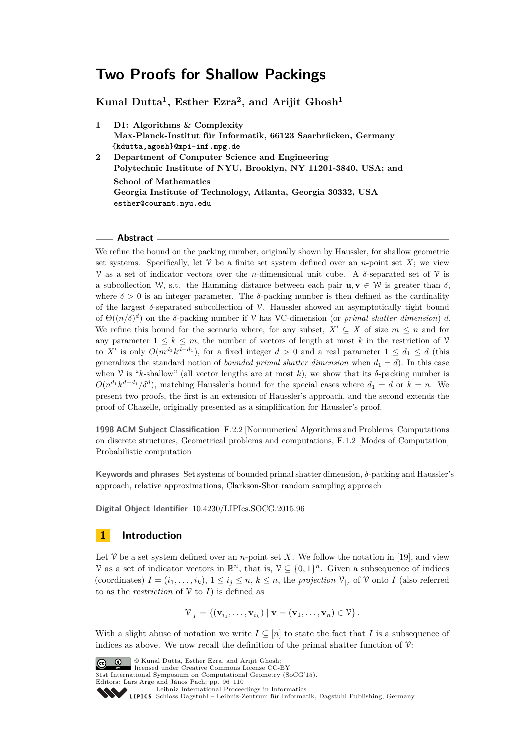**Kunal Dutta<sup>1</sup> , Esther Ezra<sup>2</sup> , and Arijit Ghosh<sup>1</sup>**

- **1 D1: Algorithms & Complexity Max-Planck-Institut für Informatik, 66123 Saarbrücken, Germany {kdutta,agosh}@mpi-inf.mpg.de**
- **2 Department of Computer Science and Engineering Polytechnic Institute of NYU, Brooklyn, NY 11201-3840, USA; and School of Mathematics Georgia Institute of Technology, Atlanta, Georgia 30332, USA esther@courant.nyu.edu**

# **Abstract**

We refine the bound on the packing number, originally shown by Haussler, for shallow geometric set systems. Specifically, let  $\mathcal V$  be a finite set system defined over an *n*-point set *X*; we view V as a set of indicator vectors over the *n*-dimensional unit cube. A *δ*-separated set of V is a subcollection W, s.t. the Hamming distance between each pair  $\mathbf{u}, \mathbf{v} \in \mathcal{W}$  is greater than  $\delta$ , where  $\delta > 0$  is an integer parameter. The  $\delta$ -packing number is then defined as the cardinality of the largest *δ*-separated subcollection of V. Haussler showed an asymptotically tight bound of  $\Theta((n/\delta)^d)$  on the *δ*-packing number if  $\mathcal V$  has VC-dimension (or *primal shatter dimension*) *d*. We refine this bound for the scenario where, for any subset,  $X' \subseteq X$  of size  $m \leq n$  and for any parameter  $1 \leq k \leq m$ , the number of vectors of length at most k in the restriction of V to *X'* is only  $O(m^{d_1} k^{d-d_1})$ , for a fixed integer  $d > 0$  and a real parameter  $1 \leq d_1 \leq d$  (this generalizes the standard notion of *bounded primal shatter dimension* when  $d_1 = d$ ). In this case when V is " $k$ -shallow" (all vector lengths are at most  $k$ ), we show that its  $\delta$ -packing number is  $O(n^{d_1}k^{d-d_1}/\delta^d)$ , matching Haussler's bound for the special cases where  $d_1 = d$  or  $k = n$ . We present two proofs, the first is an extension of Haussler's approach, and the second extends the proof of Chazelle, originally presented as a simplification for Haussler's proof.

**1998 ACM Subject Classification** F.2.2 [Nonnumerical Algorithms and Problems] Computations on discrete structures, Geometrical problems and computations, F.1.2 [Modes of Computation] Probabilistic computation

**Keywords and phrases** Set systems of bounded primal shatter dimension, *δ*-packing and Haussler's approach, relative approximations, Clarkson-Shor random sampling approach

**Digital Object Identifier** [10.4230/LIPIcs.SOCG.2015.96](http://dx.doi.org/10.4230/LIPIcs.SOCG.2015.96)

# <span id="page-0-0"></span>**1 Introduction**

Let  $\mathcal V$  be a set system defined over an *n*-point set X. We follow the notation in [\[19\]](#page-13-0), and view V as a set of indicator vectors in  $\mathbb{R}^n$ , that is,  $\mathcal{V} \subseteq \{0,1\}^n$ . Given a subsequence of indices (coordinates)  $I = (i_1, \ldots, i_k)$ ,  $1 \leq i_j \leq n$ ,  $k \leq n$ , the *projection*  $\mathcal{V}_{|I}$  of  $\mathcal{V}$  onto *I* (also referred to as the *restriction* of  $V$  to *I*) is defined as

$$
\mathcal{V}_{|_{I}} = \{(\mathbf{v}_{i_1},\ldots,\mathbf{v}_{i_k}) \mid \mathbf{v} = (\mathbf{v}_1,\ldots,\mathbf{v}_n) \in \mathcal{V}\}.
$$

With a slight abuse of notation we write  $I \subseteq [n]$  to state the fact that *I* is a subsequence of indices as above. We now recall the definition of the primal shatter function of  $\mathcal{V}$ :





31st International Symposium on Computational Geometry (SoCG'15).

Leibniz International Froceedings in informatik, Dagstuhl Publishing, Germany<br>LIPICS [Schloss Dagstuhl – Leibniz-Zentrum für Informatik, Dagstuhl Publishing, Germany](http://www.dagstuhl.de)

Editors: Lars Arge and János Pach; pp. 96[–110](#page-14-0)

[Leibniz International Proceedings in Informatics](http://www.dagstuhl.de/lipics/)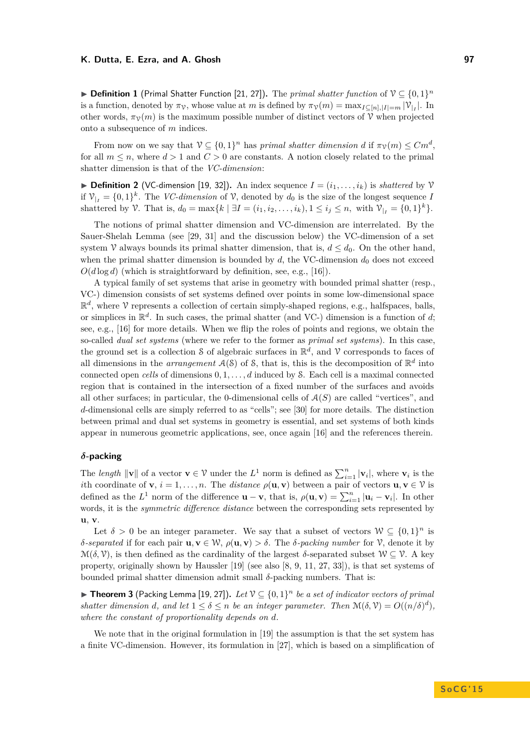▶ **Definition 1** (Primal Shatter Function [\[21,](#page-13-1) [27\]](#page-14-1)). The *primal shatter function* of  $V \subseteq \{0,1\}^n$ is a function, denoted by  $\pi_V$ , whose value at *m* is defined by  $\pi_V(m) = \max_{I \subseteq [n], |I| = m} |\mathcal{V}_{|I}|$ . In other words,  $\pi_V(m)$  is the maximum possible number of distinct vectors of V when projected onto a subsequence of *m* indices.

From now on we say that  $V \subseteq \{0,1\}^n$  has *primal shatter dimension d* if  $\pi_V(m) \leq Cm^d$ , for all  $m \leq n$ , where  $d > 1$  and  $C > 0$  are constants. A notion closely related to the primal shatter dimension is that of the *VC-dimension*:

 $\triangleright$  **Definition 2** (VC-dimension [\[19,](#page-13-0) [32\]](#page-14-2)). An index sequence  $I = (i_1, \ldots, i_k)$  is *shattered* by  $\mathcal{V}$ if  $V_{|I} = \{0,1\}^k$ . The *VC-dimension* of  $V$ , denoted by  $d_0$  is the size of the longest sequence *I* shattered by  $\mathcal{V}$ . That is,  $d_0 = \max\{k \mid \exists I = (i_1, i_2, \dots, i_k), 1 \le i_j \le n, \text{ with } \mathcal{V}_{|I|} = \{0, 1\}^k\}.$ 

The notions of primal shatter dimension and VC-dimension are interrelated. By the Sauer-Shelah Lemma (see [\[29,](#page-14-3) [31\]](#page-14-4) and the discussion below) the VC-dimension of a set system V always bounds its primal shatter dimension, that is,  $d \leq d_0$ . On the other hand, when the primal shatter dimension is bounded by  $d$ , the VC-dimension  $d_0$  does not exceed  $O(d \log d)$  (which is straightforward by definition, see, e.g., [\[16\]](#page-13-2)).

A typical family of set systems that arise in geometry with bounded primal shatter (resp., VC-) dimension consists of set systems defined over points in some low-dimensional space  $\mathbb{R}^d$ , where  $\mathcal V$  represents a collection of certain simply-shaped regions, e.g., halfspaces, balls, or simplices in  $\mathbb{R}^d$ . In such cases, the primal shatter (and VC-) dimension is a function of *d*; see, e.g., [\[16\]](#page-13-2) for more details. When we flip the roles of points and regions, we obtain the so-called *dual set systems* (where we refer to the former as *primal set systems*). In this case, the ground set is a collection S of algebraic surfaces in  $\mathbb{R}^d$ , and V corresponds to faces of all dimensions in the *arrangement*  $A(S)$  of S, that is, this is the decomposition of  $\mathbb{R}^d$  into connected open *cells* of dimensions 0*,* 1*, . . . , d* induced by S. Each cell is a maximal connected region that is contained in the intersection of a fixed number of the surfaces and avoids all other surfaces; in particular, the 0-dimensional cells of  $A(S)$  are called "vertices", and *d*-dimensional cells are simply referred to as "cells"; see [\[30\]](#page-14-5) for more details. The distinction between primal and dual set systems in geometry is essential, and set systems of both kinds appear in numerous geometric applications, see, once again [\[16\]](#page-13-2) and the references therein.

### *δ***-packing**

The *length*  $\|\mathbf{v}\|$  of a vector  $\mathbf{v} \in \mathcal{V}$  under the  $L^1$  norm is defined as  $\sum_{i=1}^n |\mathbf{v}_i|$ , where  $\mathbf{v}_i$  is the *i*th coordinate of **v**,  $i = 1, ..., n$ . The *distance*  $\rho(\mathbf{u}, \mathbf{v})$  between a pair of vectors  $\mathbf{u}, \mathbf{v} \in \mathcal{V}$  is defined as the  $L^1$  norm of the difference  $\mathbf{u} - \mathbf{v}$ , that is,  $\rho(\mathbf{u}, \mathbf{v}) = \sum_{i=1}^n |\mathbf{u}_i - \mathbf{v}_i|$ . In other words, it is the *symmetric difference distance* between the corresponding sets represented by **u**, **v**.

Let  $\delta > 0$  be an integer parameter. We say that a subset of vectors  $W \subseteq \{0,1\}^n$  is *δ-separated* if for each pair **u***,* **v** ∈ W, *ρ*(**u***,* **v**) *> δ*. The *δ-packing number* for V, denote it by  $\mathcal{M}(\delta,\mathcal{V})$ , is then defined as the cardinality of the largest  $\delta$ -separated subset  $\mathcal{W} \subset \mathcal{V}$ . A key property, originally shown by Haussler [\[19\]](#page-13-0) (see also [\[8,](#page-13-3) [9,](#page-13-4) [11,](#page-13-5) [27,](#page-14-1) [33\]](#page-14-6)), is that set systems of bounded primal shatter dimension admit small *δ*-packing numbers. That is:

<span id="page-1-0"></span>▶ Theorem 3 (Packing Lemma [\[19,](#page-13-0) [27\]](#page-14-1)). Let  $V \subseteq \{0,1\}^n$  be a set of indicator vectors of primal *shatter dimension d*, and let  $1 \leq \delta \leq n$  *be an integer parameter. Then*  $\mathcal{M}(\delta, \mathcal{V}) = O((n/\delta)^d)$ , *where the constant of proportionality depends on d.*

We note that in the original formulation in [\[19\]](#page-13-0) the assumption is that the set system has a finite VC-dimension. However, its formulation in [\[27\]](#page-14-1), which is based on a simplification of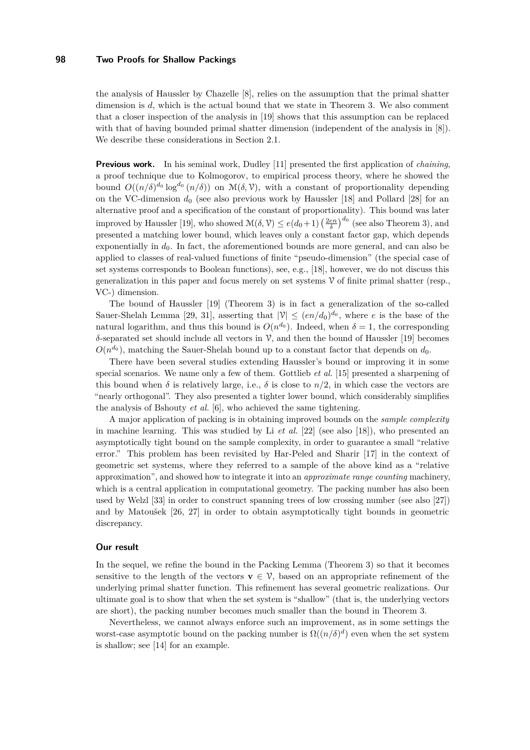the analysis of Haussler by Chazelle [\[8\]](#page-13-3), relies on the assumption that the primal shatter dimension is *d*, which is the actual bound that we state in Theorem [3.](#page-1-0) We also comment that a closer inspection of the analysis in [\[19\]](#page-13-0) shows that this assumption can be replaced with that of having bounded primal shatter dimension (independent of the analysis in [\[8\]](#page-13-3)). We describe these considerations in Section [2.1.](#page-3-0)

**Previous work.** In his seminal work, Dudley [\[11\]](#page-13-5) presented the first application of *chaining*, a proof technique due to Kolmogorov, to empirical process theory, where he showed the bound  $O((n/\delta)^{d_0} \log^{d_0}(n/\delta))$  on  $\mathcal{M}(\delta,\mathcal{V})$ , with a constant of proportionality depending on the VC-dimension  $d_0$  (see also previous work by Haussler [\[18\]](#page-13-6) and Pollard [\[28\]](#page-14-7) for an alternative proof and a specification of the constant of proportionality). This bound was later improved by Haussler [\[19\]](#page-13-0), who showed  $\mathcal{M}(\delta, \mathcal{V}) \leq e(d_0+1) \left(\frac{2en}{\delta}\right)^{d_0}$  (see also Theorem [3\)](#page-1-0), and presented a matching lower bound, which leaves only a constant factor gap, which depends exponentially in  $d_0$ . In fact, the aforementioned bounds are more general, and can also be applied to classes of real-valued functions of finite "pseudo-dimension" (the special case of set systems corresponds to Boolean functions), see, e.g., [\[18\]](#page-13-6), however, we do not discuss this generalization in this paper and focus merely on set systems  $\mathcal V$  of finite primal shatter (resp., VC-) dimension.

The bound of Haussler [\[19\]](#page-13-0) (Theorem [3\)](#page-1-0) is in fact a generalization of the so-called Sauer-Shelah Lemma [\[29,](#page-14-3) [31\]](#page-14-4), asserting that  $|\mathcal{V}| \leq (en/d_0)^{d_0}$ , where *e* is the base of the natural logarithm, and thus this bound is  $O(n^{d_0})$ . Indeed, when  $\delta = 1$ , the corresponding *δ*-separated set should include all vectors in V, and then the bound of Haussler [\[19\]](#page-13-0) becomes  $O(n^{d_0})$ , matching the Sauer-Shelah bound up to a constant factor that depends on  $d_0$ .

There have been several studies extending Haussler's bound or improving it in some special scenarios. We name only a few of them. Gottlieb *et al.* [\[15\]](#page-13-7) presented a sharpening of this bound when  $\delta$  is relatively large, i.e.,  $\delta$  is close to  $n/2$ , in which case the vectors are "nearly orthogonal". They also presented a tighter lower bound, which considerably simplifies the analysis of Bshouty *et al.* [\[6\]](#page-13-8), who achieved the same tightening.

A major application of packing is in obtaining improved bounds on the *sample complexity* in machine learning. This was studied by Li *et al.* [\[22\]](#page-13-9) (see also [\[18\]](#page-13-6)), who presented an asymptotically tight bound on the sample complexity, in order to guarantee a small "relative error." This problem has been revisited by Har-Peled and Sharir [\[17\]](#page-13-10) in the context of geometric set systems, where they referred to a sample of the above kind as a "relative approximation", and showed how to integrate it into an *approximate range counting* machinery, which is a central application in computational geometry. The packing number has also been used by Welzl [\[33\]](#page-14-6) in order to construct spanning trees of low crossing number (see also [\[27\]](#page-14-1)) and by Matoušek [\[26,](#page-14-8) [27\]](#page-14-1) in order to obtain asymptotically tight bounds in geometric discrepancy.

### **Our result**

In the sequel, we refine the bound in the Packing Lemma (Theorem [3\)](#page-1-0) so that it becomes sensitive to the length of the vectors  $\mathbf{v} \in \mathcal{V}$ , based on an appropriate refinement of the underlying primal shatter function. This refinement has several geometric realizations. Our ultimate goal is to show that when the set system is "shallow" (that is, the underlying vectors are short), the packing number becomes much smaller than the bound in Theorem [3.](#page-1-0)

Nevertheless, we cannot always enforce such an improvement, as in some settings the worst-case asymptotic bound on the packing number is  $\Omega((n/\delta)^d)$  even when the set system is shallow; see [\[14\]](#page-13-11) for an example.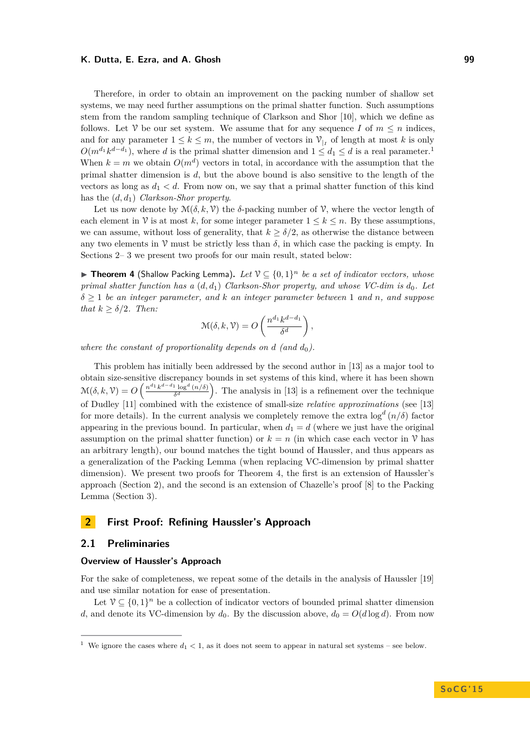Therefore, in order to obtain an improvement on the packing number of shallow set systems, we may need further assumptions on the primal shatter function. Such assumptions stem from the random sampling technique of Clarkson and Shor [\[10\]](#page-13-12), which we define as follows. Let  $\mathcal V$  be our set system. We assume that for any sequence *I* of  $m \leq n$  indices, and for any parameter  $1 \leq k \leq m$ , the number of vectors in  $\mathcal{V}_{|I}$  of length at most k is only  $O(m^{d_1}k^{d-d_1})$  $O(m^{d_1}k^{d-d_1})$  $O(m^{d_1}k^{d-d_1})$ , where *d* is the primal shatter dimension and  $1 \leq d_1 \leq d$  is a real parameter.<sup>1</sup> When  $k = m$  we obtain  $O(m^d)$  vectors in total, in accordance with the assumption that the primal shatter dimension is *d*, but the above bound is also sensitive to the length of the vectors as long as  $d_1 < d$ . From now on, we say that a primal shatter function of this kind has the (*d, d*1) *Clarkson-Shor property*.

Let us now denote by  $\mathcal{M}(\delta, k, \mathcal{V})$  the *δ*-packing number of  $\mathcal{V}$ , where the vector length of each element in  $\mathcal V$  is at most k, for some integer parameter  $1 \leq k \leq n$ . By these assumptions, we can assume, without loss of generality, that  $k > \delta/2$ , as otherwise the distance between any two elements in  $\mathcal V$  must be strictly less than  $\delta$ , in which case the packing is empty. In Sections [2–](#page-3-2) [3](#page-8-0) we present two proofs for our main result, stated below:

<span id="page-3-3"></span>▶ Theorem 4 (Shallow Packing Lemma). Let  $V \subseteq \{0,1\}^n$  be a set of indicator vectors, whose *primal shatter function has a* (*d, d*1) *Clarkson-Shor property, and whose VC-dim is d*0*. Let δ* ≥ 1 *be an integer parameter, and k an integer parameter between* 1 *and n, and suppose that*  $k \geq \delta/2$ *. Then:* 

$$
\mathcal{M}(\delta, k, \mathcal{V}) = O\left(\frac{n^{d_1} k^{d-d_1}}{\delta^d}\right),\,
$$

*where the constant of proportionality depends on*  $d$  *(and*  $d_0$ ).

This problem has initially been addressed by the second author in [\[13\]](#page-13-13) as a major tool to obtain size-sensitive discrepancy bounds in set systems of this kind, where it has been shown  $\mathcal{M}(\delta, k, \mathcal{V}) = O\left(\frac{n^{d_1}k^{d-d_1}\log^d{(n/\delta)}}{\delta^d}\right)$  $\frac{d^{1} \log^{d} (n/\delta)}{\delta^{d}}$ . The analysis in [\[13\]](#page-13-13) is a refinement over the technique of Dudley [\[11\]](#page-13-5) combined with the existence of small-size *relative approximations* (see [\[13\]](#page-13-13) for more details). In the current analysis we completely remove the extra log*<sup>d</sup>* (*n/δ*) factor appearing in the previous bound. In particular, when  $d_1 = d$  (where we just have the original assumption on the primal shatter function) or  $k = n$  (in which case each vector in  $\mathcal V$  has an arbitrary length), our bound matches the tight bound of Haussler, and thus appears as a generalization of the Packing Lemma (when replacing VC-dimension by primal shatter dimension). We present two proofs for Theorem [4,](#page-3-3) the first is an extension of Haussler's approach (Section [2\)](#page-3-2), and the second is an extension of Chazelle's proof [\[8\]](#page-13-3) to the Packing Lemma (Section [3\)](#page-8-0).

# <span id="page-3-2"></span>**2 First Proof: Refining Haussler's Approach**

# <span id="page-3-0"></span>**2.1 Preliminaries**

### **Overview of Haussler's Approach**

For the sake of completeness, we repeat some of the details in the analysis of Haussler [\[19\]](#page-13-0) and use similar notation for ease of presentation.

Let  $V \subseteq \{0,1\}^n$  be a collection of indicator vectors of bounded primal shatter dimension *d*, and denote its VC-dimension by  $d_0$ . By the discussion above,  $d_0 = O(d \log d)$ . From now

<span id="page-3-1"></span><sup>&</sup>lt;sup>1</sup> We ignore the cases where  $d_1 < 1$ , as it does not seem to appear in natural set systems – see below.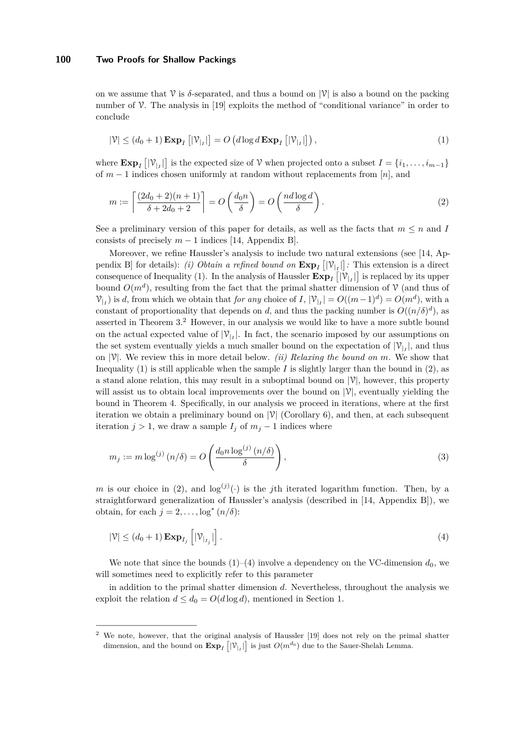on we assume that  $\mathcal V$  is  $\delta$ -separated, and thus a bound on  $|\mathcal V|$  is also a bound on the packing number of  $\mathcal V$ . The analysis in [\[19\]](#page-13-0) exploits the method of "conditional variance" in order to conclude

<span id="page-4-0"></span>
$$
|\mathcal{V}| \le (d_0 + 1) \mathbf{Exp}_I [|\mathcal{V}_{|I}|] = O\left(d \log d \mathbf{Exp}_I [|\mathcal{V}_{|I}|]\right),\tag{1}
$$

where  $\mathbf{Exp}_I [|\mathcal{V}_{|I}|\]$  is the expected size of  $\mathcal{V}$  when projected onto a subset  $I = \{i_1, \ldots, i_{m-1}\}\$ of *m* − 1 indices chosen uniformly at random without replacements from [*n*], and

<span id="page-4-2"></span>
$$
m := \left\lceil \frac{(2d_0 + 2)(n+1)}{\delta + 2d_0 + 2} \right\rceil = O\left(\frac{d_0 n}{\delta}\right) = O\left(\frac{nd \log d}{\delta}\right). \tag{2}
$$

See a preliminary version of this paper for details, as well as the facts that  $m \leq n$  and *I* consists of precisely  $m-1$  indices [\[14,](#page-13-11) Appendix B].

Moreover, we refine Haussler's analysis to include two natural extensions (see [\[14,](#page-13-11) Appendix B] for details): *(i) Obtain a refined bound on*  $\exp_I [|\mathcal{V}_{|I}|]$ : This extension is a direct consequence of Inequality [\(1\)](#page-4-0). In the analysis of Haussler  $\text{Exp}_I [|\mathcal{V}_{|I}|]$  is replaced by its upper bound  $O(m^d)$ , resulting from the fact that the primal shatter dimension of  $\mathcal V$  (and thus of  $V_{|I}$  is *d*, from which we obtain that *for any* choice of *I*,  $|V_{|I}| = O((m-1)^d) = O(m^d)$ , with a constant of proportionality that depends on *d*, and thus the packing number is  $O((n/\delta)^d)$ , as asserted in Theorem [3.](#page-1-0)[2](#page-4-1) However, in our analysis we would like to have a more subtle bound on the actual expected value of  $|\mathcal{V}_{l}|\right.$  In fact, the scenario imposed by our assumptions on the set system eventually yields a much smaller bound on the expectation of  $|\mathcal{V}_{|I}|$ , and thus on  $|\mathcal{V}|$ . We review this in more detail below. *(ii) Relaxing the bound on m.* We show that Inequality [\(1\)](#page-4-0) is still applicable when the sample  $I$  is slightly larger than the bound in  $(2)$ , as a stand alone relation, this may result in a suboptimal bound on  $|\mathcal{V}|$ , however, this property will assist us to obtain local improvements over the bound on  $|\mathcal{V}|$ , eventually yielding the bound in Theorem [4.](#page-3-3) Specifically, in our analysis we proceed in iterations, where at the first iteration we obtain a preliminary bound on  $|\mathcal{V}|$  (Corollary [6\)](#page-6-0), and then, at each subsequent iteration  $j > 1$ , we draw a sample  $I_j$  of  $m_j - 1$  indices where

<span id="page-4-4"></span>
$$
m_j := m \log^{(j)}(n/\delta) = O\left(\frac{d_0 n \log^{(j)}(n/\delta)}{\delta}\right),\tag{3}
$$

*m* is our choice in [\(2\)](#page-4-2), and  $log^{(j)}(\cdot)$  is the *j*th iterated logarithm function. Then, by a straightforward generalization of Haussler's analysis (described in [\[14,](#page-13-11) Appendix B]), we obtain, for each  $j = 2, \ldots, \log^*(n/\delta)$ :

<span id="page-4-3"></span>
$$
|\mathcal{V}| \le (d_0 + 1) \mathbf{Exp}_{I_j} \left[ |\mathcal{V}_{|_{I_j}}| \right].
$$
\n(4)

We note that since the bounds  $(1)$ – $(4)$  involve a dependency on the VC-dimension  $d_0$ , we will sometimes need to explicitly refer to this parameter

in addition to the primal shatter dimension *d*. Nevertheless, throughout the analysis we exploit the relation  $d \leq d_0 = O(d \log d)$ , mentioned in Section [1.](#page-0-0)

<span id="page-4-1"></span>We note, however, that the original analysis of Haussler [\[19\]](#page-13-0) does not rely on the primal shatter dimension, and the bound on  $\text{Exp}_I [|\mathcal{V}_{|I}|]$  is just  $O(m^{d_0})$  due to the Sauer-Shelah Lemma.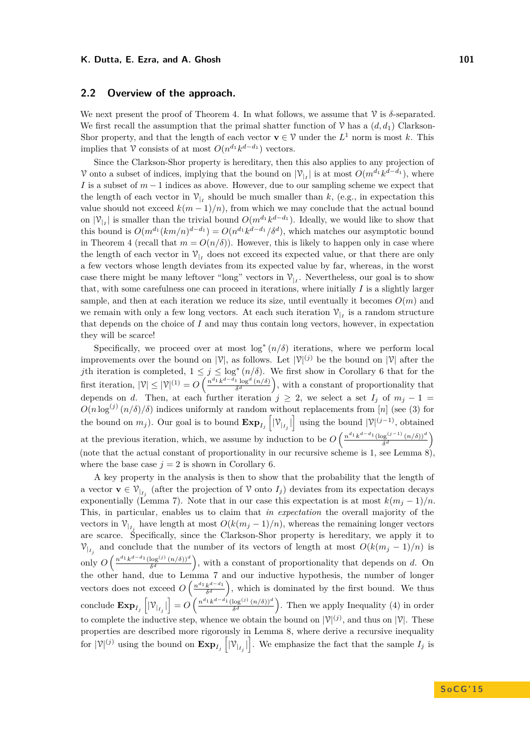### **2.2 Overview of the approach.**

We next present the proof of Theorem [4.](#page-3-3) In what follows, we assume that  $\mathcal V$  is  $\delta$ -separated. We first recall the assumption that the primal shatter function of  $\mathcal V$  has a  $(d, d_1)$  Clarkson-Shor property, and that the length of each vector  $\mathbf{v} \in \mathcal{V}$  under the  $L^1$  norm is most k. This implies that  $\mathcal V$  consists of at most  $O(n^{d_1}k^{d-d_1})$  vectors.

Since the Clarkson-Shor property is hereditary, then this also applies to any projection of V onto a subset of indices, implying that the bound on  $|\mathcal{V}|_I$  is at most  $O(m^{d_1}k^{d-d_1})$ , where *I* is a subset of  $m-1$  indices as above. However, due to our sampling scheme we expect that the length of each vector in  $V_{|I}$  should be much smaller than k, (e.g., in expectation this value should not exceed  $k(m-1)/n$ , from which we may conclude that the actual bound on  $|\mathcal{V}_{|I}|$  is smaller than the trivial bound  $O(m^{d_1}k^{d-d_1})$ . Ideally, we would like to show that this bound is  $O(m^{d_1}(km/n)^{d-d_1}) = O(n^{d_1}k^{d-d_1}/\delta^d)$ , which matches our asymptotic bound in Theorem [4](#page-3-3) (recall that  $m = O(n/\delta)$ ). However, this is likely to happen only in case where the length of each vector in  $\mathcal{V}_{\vert I}$  does not exceed its expected value, or that there are only a few vectors whose length deviates from its expected value by far, whereas, in the worst case there might be many leftover "long" vectors in  $V_{|I}$ . Nevertheless, our goal is to show that, with some carefulness one can proceed in iterations, where initially *I* is a slightly larger sample, and then at each iteration we reduce its size, until eventually it becomes  $O(m)$  and we remain with only a few long vectors. At each such iteration  $V_{|I}$  is a random structure that depends on the choice of *I* and may thus contain long vectors, however, in expectation they will be scarce!

Specifically, we proceed over at most  $\log^*(n/\delta)$  iterations, where we perform local improvements over the bound on  $|\mathcal{V}|$ , as follows. Let  $|\mathcal{V}|^{(j)}$  be the bound on  $|\mathcal{V}|$  after the *j*th iteration is completed,  $1 \leq j \leq \log^*(n/\delta)$ . We first show in Corollary [6](#page-6-0) that for the first iteration,  $|\mathcal{V}| \leq |\mathcal{V}|^{(1)} = O\left(\frac{n^{d_1}k^{d-d_1}\log^d(n/\delta)}{\delta^d}\right)$  $\frac{d \log^d (n/\delta)}{\delta^d}$ , with a constant of proportionality that depends on *d*. Then, at each further iteration  $j \geq 2$ , we select a set  $I_j$  of  $m_j - 1 =$  $O(n \log^{(j)} (n/\delta)/\delta)$  indices uniformly at random without replacements from [*n*] (see [\(3\)](#page-4-4) for the bound on  $m_j$ ). Our goal is to bound  $\mathbf{Exp}_{I_j} \left[ |\mathcal{V}_{I_j}| \right]$  using the bound  $|\mathcal{V}|^{(j-1)}$ , obtained at the previous iteration, which, we assume by induction to be  $O\left(\frac{n^{d_1}k^{d-d_1}(\log^{(j-1)}(n/\delta))^d}{\delta^d}\right)$  $\frac{\log^{(j-1)} (n/\delta))^d}{\delta^d}$ (note that the actual constant of proportionality in our recursive scheme is 1, see Lemma [8\)](#page-7-0), where the base case  $j = 2$  is shown in Corollary [6.](#page-6-0)

A key property in the analysis is then to show that the probability that the length of a vector  $\mathbf{v} \in \mathcal{V}_{|I_j|}$  (after the projection of V onto  $I_j$ ) deviates from its expectation decays exponentially (Lemma [7\)](#page-7-1). Note that in our case this expectation is at most  $k(m_j - 1)/n$ . This, in particular, enables us to claim that *in expectation* the overall majority of the vectors in  $\mathcal{V}_{|I_j}$  have length at most  $O(k(m_j-1)/n)$ , whereas the remaining longer vectors are scarce. Specifically, since the Clarkson-Shor property is hereditary, we apply it to  $v_{|_{I_j}}$  and conclude that the number of its vectors of length at most  $O(k(m_j-1)/n)$  is only  $O\left(\frac{n^{d_1}k^{d-d_1}(\log^{(j)}(n/\delta))^d}{\delta^d}\right)$  $\frac{\log^{(j)} (n/\delta))^d}{\delta^d}$ , with a constant of proportionality that depends on *d*. On the other hand, due to Lemma [7](#page-7-1) and our inductive hypothesis, the number of longer vectors does not exceed  $O\left(\frac{n^{d_1}k^{d-d_1}}{\delta^d}\right)$  $\frac{k^{d-d_1}}{\delta^d}$ , which is dominated by the first bound. We thus  $\text{conclude } \mathbf{Exp}_{I_j}\left[|\mathcal{V}_{|_{I_j}}|\right] = O\left(\frac{n^{d_1}k^{d-d_1}(\log^{(j)}(n/\delta))^d}{\delta^d}\right)$  $\frac{\log^{(j)} (n/\delta))^d}{\delta^d}$ . Then we apply Inequality [\(4\)](#page-4-3) in order to complete the inductive step, whence we obtain the bound on  $|\mathcal{V}|^{(j)}$ , and thus on  $|\mathcal{V}|$ . These properties are described more rigorously in Lemma [8,](#page-7-0) where derive a recursive inequality for  $|\mathcal{V}|^{(j)}$  using the bound on  $\mathbf{Exp}_{I_j}([\mathcal{V}_{I_j}])$ . We emphasize the fact that the sample  $I_j$  is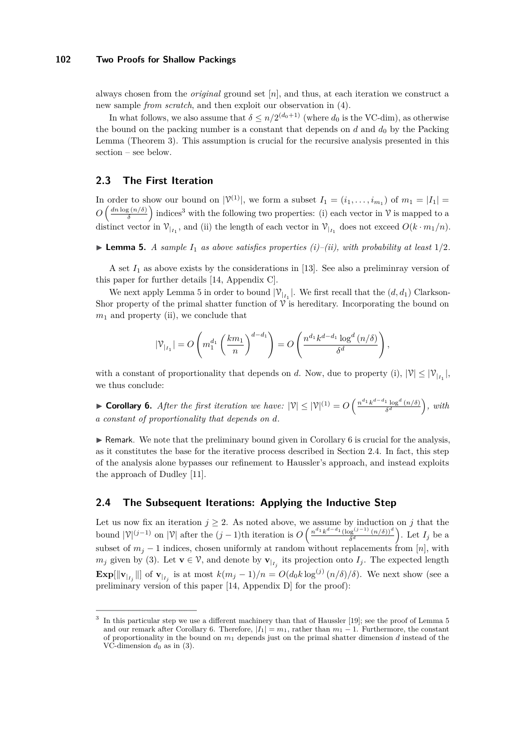always chosen from the *original* ground set [*n*], and thus, at each iteration we construct a new sample *from scratch*, and then exploit our observation in [\(4\)](#page-4-3).

In what follows, we also assume that  $\delta \leq n/2^{(d_0+1)}$  (where  $d_0$  is the VC-dim), as otherwise the bound on the packing number is a constant that depends on  $d$  and  $d_0$  by the Packing Lemma (Theorem [3\)](#page-1-0). This assumption is crucial for the recursive analysis presented in this section – see below.

# **2.3 The First Iteration**

In order to show our bound on  $|\mathcal{V}^{(1)}|$ , we form a subset  $I_1 = (i_1, \ldots, i_{m_1})$  of  $m_1 = |I_1|$  $O\left(\frac{dn\log\left(n/\delta\right)}{\delta}\right)$  $\frac{\sigma_S(n/\delta)}{\delta}$  indices<sup>[3](#page-6-1)</sup> with the following two properties: (i) each vector in  $\mathcal V$  is mapped to a distinct vector in  $V_{|I_1}$ , and (ii) the length of each vector in  $V_{|I_1}$  does not exceed  $O(k \cdot m_1/n)$ .

<span id="page-6-2"></span> $\blacktriangleright$  **Lemma 5.** *A sample*  $I_1$  *as above satisfies properties (i)–(ii), with probability at least*  $1/2$ *.* 

A set  $I_1$  as above exists by the considerations in [\[13\]](#page-13-13). See also a preliminray version of this paper for further details [\[14,](#page-13-11) Appendix C].

We next apply Lemma [5](#page-6-2) in order to bound  $|\mathcal{V}_{l_1}|$ . We first recall that the  $(d, d_1)$  Clarkson-Shor property of the primal shatter function of  $\hat{V}$  is hereditary. Incorporating the bound on *m*<sup>1</sup> and property (ii), we conclude that

$$
|\mathcal{V}_{|_{I_1}}| = O\left(m_1^{d_1} \left(\frac{km_1}{n}\right)^{d-d_1}\right) = O\left(\frac{n^{d_1} k^{d-d_1} \log^d\left(n/\delta\right)}{\delta^d}\right),\,
$$

with a constant of proportionality that depends on *d*. Now, due to property (i),  $|\mathcal{V}| \leq |\mathcal{V}_{l_{I_1}}|$ , we thus conclude:

<span id="page-6-0"></span>**► Corollary 6.** After the first iteration we have:  $|\mathcal{V}| \leq |\mathcal{V}|^{(1)} = O\left(\frac{n^{d_1}k^{d-d_1}\log^d(n/\delta)}{\delta^d}\right)$  $\frac{d}{\delta^d}$   $\frac{(n/\delta)}{n}$ , with *a constant of proportionality that depends on d.*

 $\triangleright$  Remark. We note that the preliminary bound given in Corollary [6](#page-6-0) is crucial for the analysis, as it constitutes the base for the iterative process described in Section [2.4.](#page-6-3) In fact, this step of the analysis alone bypasses our refinement to Haussler's approach, and instead exploits the approach of Dudley [\[11\]](#page-13-5).

# <span id="page-6-3"></span>**2.4 The Subsequent Iterations: Applying the Inductive Step**

Let us now fix an iteration  $j \geq 2$ . As noted above, we assume by induction on *j* that the bound  $|\mathcal{V}|^{(j-1)}$  on  $|\mathcal{V}|$  after the  $(j-1)$ th iteration is  $O\left(\frac{n^{d_1}k^{d-d_1}(\log^{(j-1)}(n/\delta))^d}{\delta^d}\right)$  $\left(\frac{\log^{(j-1)}(n/\delta))^d}{\delta^d}\right)$ . Let  $I_j$  be a subset of  $m_j - 1$  indices, chosen uniformly at random without replacements from [*n*], with *m<sub>j</sub>* given by [\(3\)](#page-4-4). Let  $\mathbf{v} \in \mathcal{V}$ , and denote by  $\mathbf{v}_{|I_j}$  its projection onto  $I_j$ . The expected length **Exp**[ $\|\mathbf{v}_{l_{j}}\|$ ] of  $\mathbf{v}_{l_{j}}$  is at most  $k(m_{j}-1)/n = O(d_{0}k \log^{(j)}(n/\delta)/\delta)$ . We next show (see a preliminary version of this paper [\[14,](#page-13-11) Appendix D] for the proof):

<span id="page-6-1"></span><sup>3</sup> In this particular step we use a different machinery than that of Haussler [\[19\]](#page-13-0); see the proof of Lemma [5](#page-6-2) and our remark after Corollary [6.](#page-6-0) Therefore,  $|I_1| = m_1$ , rather than  $m_1 - 1$ . Furthermore, the constant of proportionality in the bound on *m*<sup>1</sup> depends just on the primal shatter dimension *d* instead of the VC-dimension  $d_0$  as in [\(3\)](#page-4-4).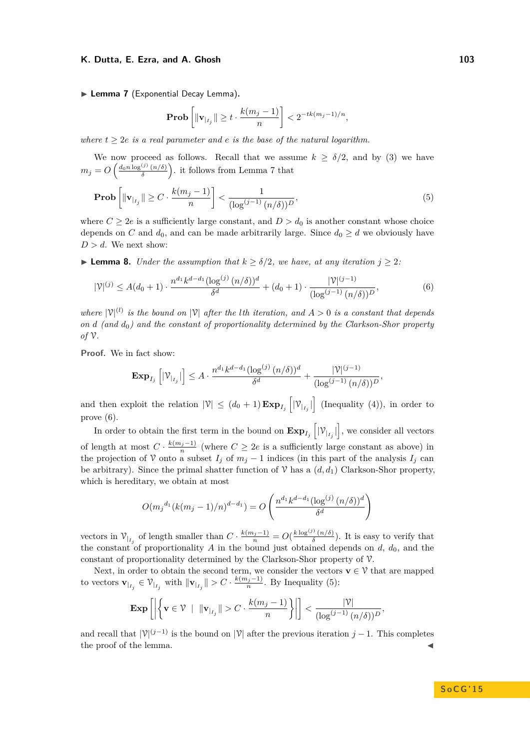<span id="page-7-1"></span>▶ Lemma 7 (Exponential Decay Lemma).

<span id="page-7-3"></span><span id="page-7-2"></span>
$$
\mathbf{Prob}\left[\|\mathbf{v}_{|_{I_j}}\|\geq t\cdot\frac{k(m_j-1)}{n}\right]<2^{-tk(m_j-1)/n},
$$

*where*  $t \geq 2e$  *is a real parameter and e is the base of the natural logarithm.* 

We now proceed as follows. Recall that we assume  $k \geq \delta/2$ , and by [\(3\)](#page-4-4) we have  $m_j = O\left(\frac{d_0 n \log^{(j)}{(n/\delta)}}{\delta}\right)$  $\left(\frac{\delta}{\delta} \left(n/\delta\right)\right)$  it follows from Lemma [7](#page-7-1) that

$$
\mathbf{Prob}\left[\|\mathbf{v}_{|_{I_j}}\| \ge C \cdot \frac{k(m_j - 1)}{n}\right] < \frac{1}{(\log^{(j-1)}(n/\delta))^D},\tag{5}
$$

where  $C \geq 2e$  is a sufficiently large constant, and  $D > d_0$  is another constant whose choice depends on *C* and  $d_0$ , and can be made arbitrarily large. Since  $d_0 \geq d$  we obviously have  $D > d$ . We next show:

<span id="page-7-0"></span>**I Lemma 8.** *Under the assumption that*  $k \ge \delta/2$ *, we have, at any iteration*  $j \ge 2$ *:* 

$$
|\mathcal{V}|^{(j)} \le A(d_0+1) \cdot \frac{n^{d_1} k^{d-d_1} (\log^{(j)} (n/\delta))^d}{\delta^d} + (d_0+1) \cdot \frac{|\mathcal{V}|^{(j-1)}}{(\log^{(j-1)} (n/\delta))^D},
$$
(6)

where  $|\mathcal{V}|^{(l)}$  is the bound on  $|\mathcal{V}|$  after the *l*th iteration, and  $A > 0$  is a constant that depends *on d (and d*0*) and the constant of proportionality determined by the Clarkson-Shor property of* V*.*

**Proof.** We in fact show:

$$
\mathbf{Exp}_{I_j}\left[|\mathcal{V}_{|_{I_j}}|\right] \leq A \cdot \frac{n^{d_1} k^{d-d_1} (\log^{(j)}(n/\delta))^d}{\delta^d} + \frac{|\mathcal{V}|^{(j-1)}}{(\log^{(j-1)}(n/\delta))^D},
$$

and then exploit the relation  $|\mathcal{V}| \leq (d_0 + 1) \mathbf{Exp}_{I_j} \left[ |\mathcal{V}_{I_j}| \right]$  (Inequality [\(4\)](#page-4-3)), in order to prove [\(6\)](#page-7-2).

In order to obtain the first term in the bound on  $\mathbf{Exp}_{I_j}\left[|\mathcal{V}_{I_j}| \right]$ , we consider all vectors of length at most  $C \cdot \frac{k(m_j-1)}{n}$  (where  $C \geq 2e$  is a sufficiently large constant as above) in the projection of V onto a subset  $I_j$  of  $m_j - 1$  indices (in this part of the analysis  $I_j$  can be arbitrary). Since the primal shatter function of  $\mathcal V$  has a  $(d, d_1)$  Clarkson-Shor property, which is hereditary, we obtain at most

$$
O(m_j^{d_1}(k(m_j-1)/n)^{d-d_1}) = O\left(\frac{n^{d_1}k^{d-d_1}(\log^{(j)}(n/\delta))^d}{\delta^d}\right)
$$

vectors in  $\mathcal{V}_{|I_j}$  of length smaller than  $C \cdot \frac{k(m_j-1)}{n} = O(\frac{k \log^{(j)} (n/\delta)}{\delta})$  $\frac{\partial (n/\delta)}{\delta}$ ). It is easy to verify that the constant of proportionality  $A$  in the bound just obtained depends on  $d$ ,  $d_0$ , and the constant of proportionality determined by the Clarkson-Shor property of V.

Next, in order to obtain the second term, we consider the vectors  $\mathbf{v} \in \mathcal{V}$  that are mapped to vectors  $\mathbf{v}_{|_{I_j}} \in \mathcal{V}_{|_{I_j}}$  with  $\|\mathbf{v}_{|_{I_j}}\| > C \cdot \frac{k(m_j-1)}{n}$ . By Inequality [\(5\)](#page-7-3):

$$
\mathbf{Exp}\left[\left|\left\{\mathbf{v}\in\mathcal{V}\; \mid\; \|\mathbf{v}_{|_{I_j}}\|>C\cdot\frac{k(m_j-1)}{n}\right\}\right|\right]<\frac{|\mathcal{V}|}{(\log^{(j-1)}(n/\delta))^D},
$$

and recall that  $|\mathcal{V}|^{(j-1)}$  is the bound on  $|\mathcal{V}|$  after the previous iteration *j* − 1. This completes the proof of the lemma.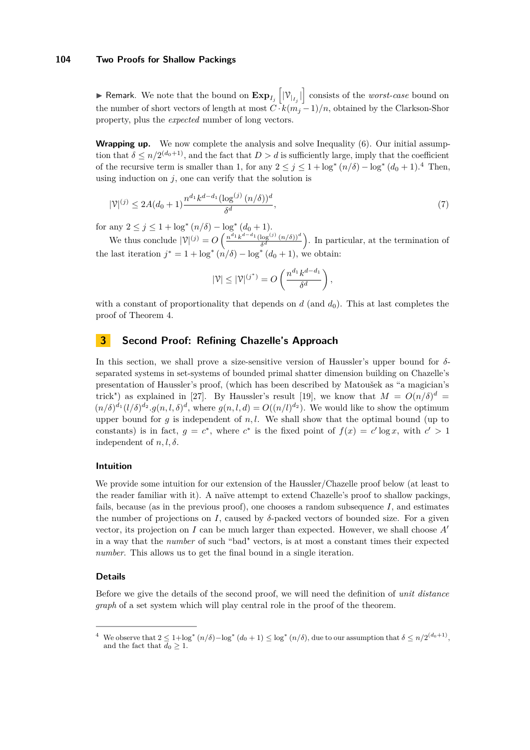**F** Remark. We note that the bound on  $\mathbf{Exp}_{I_j}\left[|\mathcal{V}_{I_j}| \right]$  consists of the *worst-case* bound on the number of short vectors of length at most  $C \cdot k(m_j-1)/n$ , obtained by the Clarkson-Shor property, plus the *expected* number of long vectors.

**Wrapping up.** We now complete the analysis and solve Inequality [\(6\)](#page-7-2). Our initial assumption that  $\delta \leq n/2^{(d_0+1)}$ , and the fact that  $D > d$  is sufficiently large, imply that the coefficient of the recursive term is smaller than 1, for any  $2 \leq j \leq 1 + \log^* (n/\delta) - \log^* (d_0 + 1)$ .<sup>[4](#page-8-1)</sup> Then, using induction on  $j$ , one can verify that the solution is

$$
|\mathcal{V}|^{(j)} \le 2A(d_0+1)\frac{n^{d_1}k^{d-d_1}(\log^{(j)}(n/\delta))^d}{\delta^d},\tag{7}
$$

for any  $2 \leq j \leq 1 + \log^*(n/\delta) - \log^*$  $(d_0 + 1).$ 

We thus conclude  $|\mathcal{V}|^{(j)} = O\left(\frac{n^{d_1}k^{d-d_1}(\log^{(j)}(n/\delta))^d}{\delta^d}\right)$  $\frac{\log^{(j)} (n/\delta))^d}{\delta^d}$ . In particular, at the termination of the last iteration  $j^* = 1 + \log^* (n/\delta) - \log^* (d_0 + 1)$ , we obtain:

$$
|\mathcal{V}| \leq |\mathcal{V}|^{(j^*)} = O\left(\frac{n^{d_1}k^{d-d_1}}{\delta^d}\right),\,
$$

with a constant of proportionality that depends on  $d$  (and  $d_0$ ). This at last completes the proof of Theorem [4.](#page-3-3)

# <span id="page-8-0"></span>**3 Second Proof: Refining Chazelle's Approach**

In this section, we shall prove a size-sensitive version of Haussler's upper bound for *δ*separated systems in set-systems of bounded primal shatter dimension building on Chazelle's presentation of Haussler's proof, (which has been described by Matoušek as "a magician's trick") as explained in [\[27\]](#page-14-1). By Haussler's result [\[19\]](#page-13-0), we know that  $M = O(n/\delta)^d$  $(n/\delta)^{d_1}(l/\delta)^{d_2} \cdot g(n,l,\delta)^d$ , where  $g(n,l,d) = O((n/l)^{d_2})$ . We would like to show the optimum upper bound for  $q$  is independent of  $n, l$ . We shall show that the optimal bound (up to constants) is in fact,  $g = c^*$ , where  $c^*$  is the fixed point of  $f(x) = c' \log x$ , with  $c' > 1$ independent of  $n, l, \delta$ .

### **Intuition**

We provide some intuition for our extension of the Haussler/Chazelle proof below (at least to the reader familiar with it). A naïve attempt to extend Chazelle's proof to shallow packings, fails, because (as in the previous proof), one chooses a random subsequence  $I$ , and estimates the number of projections on *I*, caused by  $\delta$ -packed vectors of bounded size. For a given vector, its projection on *I* can be much larger than expected. However, we shall choose  $A<sup>0</sup>$ in a way that the *number* of such "bad" vectors, is at most a constant times their expected *number*. This allows us to get the final bound in a single iteration.

### **Details**

Before we give the details of the second proof, we will need the definition of *unit distance graph* of a set system which will play central role in the proof of the theorem.

<span id="page-8-1"></span><sup>&</sup>lt;sup>4</sup> We observe that  $2 \leq 1 + \log^* (n/\delta) - \log^* (d_0 + 1) \leq \log^* (n/\delta)$ , due to our assumption that  $\delta \leq n/2^{(d_0+1)}$ , and the fact that  $d_0 \geq 1$ .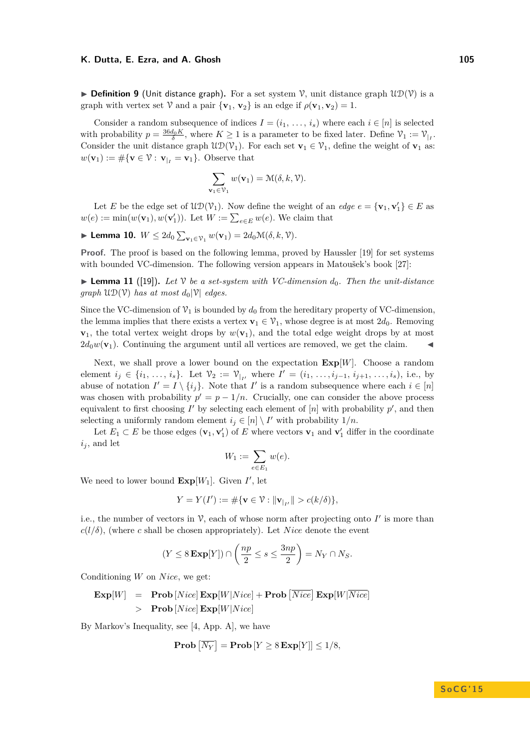**Definition 9** (Unit distance graph). For a set system  $\mathcal{V}$ , unit distance graph  $\mathcal{UD}(\mathcal{V})$  is a graph with vertex set V and a pair  $\{v_1, v_2\}$  is an edge if  $\rho(v_1, v_2) = 1$ .

Consider a random subsequence of indices  $I = (i_1, \ldots, i_s)$  where each  $i \in [n]$  is selected with probability  $p = \frac{36d_0 K}{\delta}$ , where  $K \ge 1$  is a parameter to be fixed later. Define  $\mathcal{V}_1 := \mathcal{V}_{|I}$ . Consider the unit distance graph  $\mathfrak{UD}(\mathcal{V}_1)$ . For each set  $\mathbf{v}_1 \in \mathcal{V}_1$ , define the weight of  $\mathbf{v}_1$  as:  $w(\mathbf{v}_1) := \# \{ \mathbf{v} \in \mathcal{V} : \mathbf{v}_{|I} = \mathbf{v}_1 \}.$  Observe that

$$
\sum_{\mathbf{v}_1 \in \mathcal{V}_1} w(\mathbf{v}_1) = \mathcal{M}(\delta, k, \mathcal{V}).
$$

Let *E* be the edge set of  $\mathfrak{UD}(\mathcal{V}_1)$ . Now define the weight of an *edge*  $e = {\mathbf{v}_1, \mathbf{v}'_1} \in E$  as  $w(e) := \min(w(\mathbf{v}_1), w(\mathbf{v}'_1))$ . Let  $W := \sum_{e \in E} w(e)$ . We claim that

► Lemma 10.  $W \leq 2d_0 \sum_{\mathbf{v}_1 \in \mathcal{V}_1} w(\mathbf{v}_1) = 2d_0 \mathcal{M}(\delta, k, \mathcal{V})$ *.* 

Proof. The proof is based on the following lemma, proved by Haussler [\[19\]](#page-13-0) for set systems with bounded VC-dimension. The following version appears in Matoušek's book [\[27\]](#page-14-1):

**Lemma 11** ([\[19\]](#page-13-0)). Let V be a set-system with VC-dimension  $d_0$ . Then the unit-distance *graph*  $U\mathcal{D}(\mathcal{V})$  *has at most*  $d_0|\mathcal{V}|$  *edges.* 

Since the VC-dimension of  $\mathcal{V}_1$  is bounded by  $d_0$  from the hereditary property of VC-dimension, the lemma implies that there exists a vertex  $\mathbf{v}_1 \in \mathcal{V}_1$ , whose degree is at most  $2d_0$ . Removing  $\mathbf{v}_1$ , the total vertex weight drops by  $w(\mathbf{v}_1)$ , and the total edge weight drops by at most  $2d_0w(\mathbf{v}_1)$ . Continuing the argument until all vertices are removed, we get the claim.

Next, we shall prove a lower bound on the expectation  $\mathbf{Exp}[W]$ . Choose a random element *i*<sub>j</sub> ∈ {*i*<sub>1</sub>*, ..., i*<sub>*s*</sub>}. Let  $\mathcal{V}_2 := \mathcal{V}_{|I'}$  where  $I' = (i_1, \ldots, i_{j-1}, i_{j+1}, \ldots, i_s)$ , i.e., by abuse of notation  $I' = I \setminus \{i_j\}$ . Note that  $I'$  is a random subsequence where each  $i \in [n]$ was chosen with probability  $p' = p - 1/n$ . Crucially, one can consider the above process equivalent to first choosing  $I'$  by selecting each element of  $[n]$  with probability  $p'$ , and then selecting a uniformly random element  $i_j \in [n] \setminus I'$  with probability  $1/n$ .

Let  $E_1 \subset E$  be those edges  $(\mathbf{v}_1, \mathbf{v}'_1)$  of  $E$  where vectors  $\mathbf{v}_1$  and  $\mathbf{v}'_1$  differ in the coordinate  $i_j$ , and let

$$
W_1:=\sum_{e\in E_1}w(e).
$$

We need to lower bound  $\mathbf{Exp}[W_1]$ . Given  $I'$ , let

$$
Y = Y(I') := \#\{\mathbf{v} \in \mathcal{V} : \|\mathbf{v}_{|_{I'}}\| > c(k/\delta)\},\
$$

i.e., the number of vectors in  $\mathcal{V}$ , each of whose norm after projecting onto  $I'$  is more than  $c(l/\delta)$ , (where *c* shall be chosen appropriately). Let *Nice* denote the event

$$
(Y \leq 8 \mathbf{Exp}[Y]) \cap \left(\frac{np}{2} \leq s \leq \frac{3np}{2}\right) = N_Y \cap N_S.
$$

Conditioning *W* on *Nice*, we get:

$$
\begin{array}{rcl}\n\textbf{Exp}[W] & = & \textbf{Prob}\left[Nice\right]\textbf{Exp}[W|Nice] + \textbf{Prob}\left[Nice\right]\textbf{Exp}[W|\overline{Nice}]\n\\
& > & \textbf{Prob}\left[Nice\right]\textbf{Exp}[W|Nice]\n\end{array}
$$

By Markov's Inequality, see [\[4,](#page-13-14) App. A], we have

$$
Prob [NY] = Prob [Y \ge 8 Exp[Y]] \le 1/8,
$$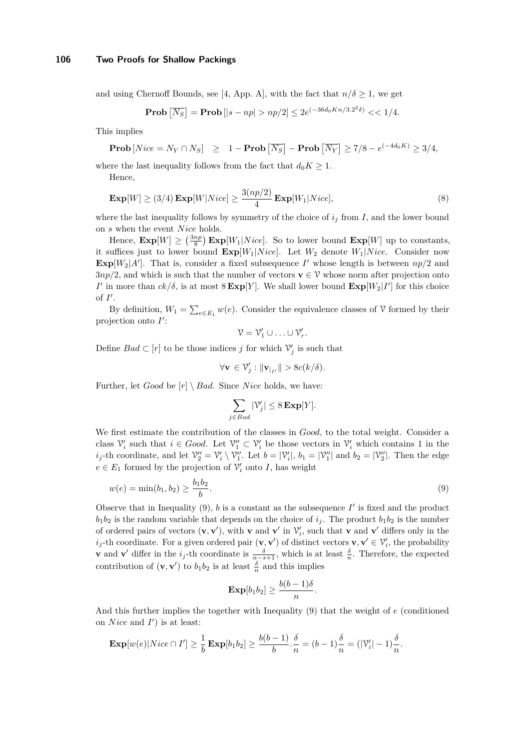and using Chernoff Bounds, see [\[4,](#page-13-14) App. A], with the fact that  $n/\delta \geq 1$ , we get

**Prob** 
$$
\overline{[N_S]}
$$
 = **Prob**  $[|s - np| > np/2] \le 2e^{(-36d_0 Kn/3.2^2 \delta)} \lt \lt 1/4.$ 

This implies

**Prob** 
$$
[Nice = N_Y \cap N_S]
$$
  $\geq 1 -$ **Prob**  $[N_S]$   $-$ **Prob**  $[N_Y] \geq 7/8 - e^{(-4d_0 K)} \geq 3/4$ ,

where the last inequality follows from the fact that  $d_0K \geq 1$ .

Hence,

<span id="page-10-1"></span>
$$
\mathbf{Exp}[W] \ge (3/4) \mathbf{Exp}[W|Nice] \ge \frac{3(np/2)}{4} \mathbf{Exp}[W_1|Nice],\tag{8}
$$

where the last inequality follows by symmetry of the choice of  $i_j$  from  $I$ , and the lower bound on *s* when the event *N ice* holds.

Hence,  $\mathbf{Exp}[W] \geq \left(\frac{3np}{8}\right) \mathbf{Exp}[W_1|Nice]$ . So to lower bound  $\mathbf{Exp}[W]$  up to constants, it suffices just to lower bound  $\mathbf{Exp}[W_1|Nice]$ . Let  $W_2$  denote  $W_1|Nice$ . Consider now  $\mathbf{Exp}[W_2|A']$ . That is, consider a fixed subsequence *I*' whose length is between  $np/2$  and  $3np/2$ , and which is such that the number of vectors **v**  $\in \mathcal{V}$  whose norm after projection onto *I*<sup> $\prime$ </sup> in more than  $ck/\delta$ , is at most  $8 \text{Exp}[Y]$ . We shall lower bound  $\text{Exp}[W_2|I']$  for this choice of  $I'$ .

By definition,  $W_1 = \sum_{e \in E_1} w(e)$ . Consider the equivalence classes of  $\mathcal V$  formed by their projection onto  $I'$ :

$$
\mathcal{V} = \mathcal{V}'_1 \cup \ldots \cup \mathcal{V}'_r.
$$

Define  $Bad \subset [r]$  to be those indices *j* for which  $\mathcal{V}'_j$  is such that

$$
\forall \mathbf{v} \in \mathcal{V}'_j : \|\mathbf{v}_{|_{I'}}\| > 8c(k/\delta).
$$

Further, let *Good* be  $[r] \setminus Bad$ . Since *Nice* holds, we have:

$$
\sum_{j \in Bad} |\mathcal{V}'_j| \leq 8 \mathbf{Exp}[Y].
$$

We first estimate the contribution of the classes in *Good*, to the total weight. Consider a class  $\mathcal{V}'_i$  such that  $i \in Good$ . Let  $\mathcal{V}''_1 \subset \mathcal{V}'_i$  be those vectors in  $\mathcal{V}'_i$  which contains 1 in the  $i_j$ -th coordinate, and let  $\mathcal{V}_2'' = \mathcal{V}_i' \setminus \mathcal{V}_1''$ . Let  $b = |\mathcal{V}_i'|$ ,  $b_1 = |\mathcal{V}_1''|$  and  $b_2 = |\mathcal{V}_2''|$ . Then the edge  $e \in E_1$  formed by the projection of  $\mathcal{V}'_i$  onto *I*, has weight

<span id="page-10-0"></span>
$$
w(e) = \min(b_1, b_2) \ge \frac{b_1 b_2}{b}.\tag{9}
$$

Observe that in Inequality  $(9)$ , *b* is a constant as the subsequence  $I'$  is fixed and the product  $b_1b_2$  is the random variable that depends on the choice of  $i_j$ . The product  $b_1b_2$  is the number of ordered pairs of vectors  $(\mathbf{v}, \mathbf{v}')$ , with **v** and **v**' in  $\mathcal{V}'_i$ , such that **v** and **v**' differs only in the  $i_j$ -th coordinate. For a given ordered pair  $(\mathbf{v}, \mathbf{v}')$  of distinct vectors  $\mathbf{v}, \mathbf{v}' \in \mathcal{V}'_i$ , the probability **v** and **v**' differ in the  $i_j$ -th coordinate is  $\frac{\delta}{n-s+1}$ , which is at least  $\frac{\delta}{n}$ . Therefore, the expected contribution of  $(\mathbf{v}, \mathbf{v}')$  to  $b_1b_2$  is at least  $\frac{\delta}{n}$  and this implies

$$
\mathbf{Exp}[b_1b_2] \geq \frac{b(b-1)\delta}{n}.
$$

And this further implies the together with Inequality [\(9\)](#page-10-0) that the weight of *e* (conditioned on *Nice* and  $I'$  is at least:

$$
\mathbf{Exp}[w(e)|\text{Nice} \cap I'] \ge \frac{1}{b} \mathbf{Exp}[b_1 b_2] \ge \frac{b(b-1)}{b} \cdot \frac{\delta}{n} = (b-1)\frac{\delta}{n} = (|\mathcal{V}'_i| - 1)\frac{\delta}{n}.
$$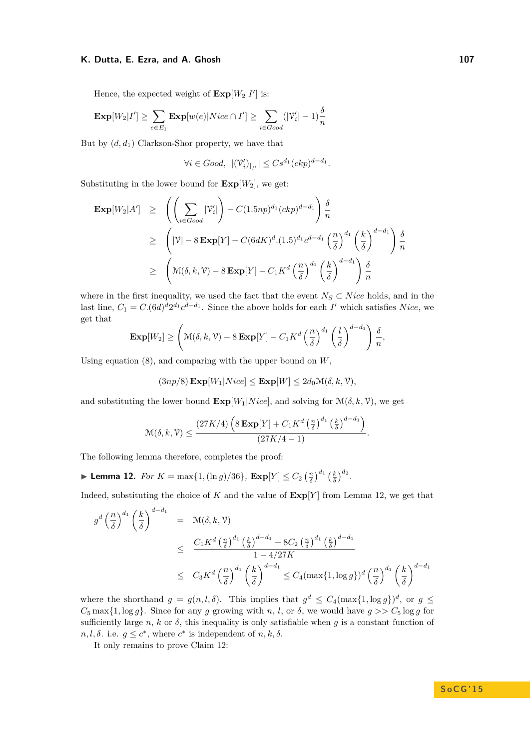Hence, the expected weight of  $\text{Exp}[W_2|I']$  is:

$$
\mathbf{Exp}[W_2|I'] \ge \sum_{e \in E_1} \mathbf{Exp}[w(e)|Nice \cap I'] \ge \sum_{i \in Good} (|\mathcal{V}'_i| - 1)\frac{\delta}{n}
$$

But by  $(d, d_1)$  Clarkson-Shor property, we have that

$$
\forall i \in Good, \ |(\mathcal{V}'_i)|_{I'}| \leq Cs^{d_1}(ckp)^{d-d_1}.
$$

Substituting in the lower bound for  $\mathbf{Exp}[W_2]$ , we get:

$$
\begin{array}{lcl} \mathbf{Exp}[W_2|A'] & \geq & \left( \left( \sum_{i \in Good} |\mathcal{V}'_i| \right) - C(1.5np)^{d_1} (ckp)^{d-d_1} \right) \frac{\delta}{n} \\ & \geq & \left( |\mathcal{V}| - 8 \mathbf{Exp}[Y] - C(6dK)^d \cdot (1.5)^{d_1} c^{d-d_1} \left( \frac{n}{\delta} \right)^{d_1} \left( \frac{k}{\delta} \right)^{d-d_1} \right) \frac{\delta}{n} \\ & \geq & \left( \mathcal{M}(\delta, k, \mathcal{V}) - 8 \mathbf{Exp}[Y] - C_1 K^d \left( \frac{n}{\delta} \right)^{d_1} \left( \frac{k}{\delta} \right)^{d-d_1} \right) \frac{\delta}{n} \end{array}
$$

where in the first inequality, we used the fact that the event  $N_S \subset Nice$  holds, and in the last line,  $C_1 = C \cdot (6d)^d 2^{d_1} c^{d-d_1}$ . Since the above holds for each *I*' which satisfies *Nice*, we get that

$$
\mathbf{Exp}[W_2] \ge \left(\mathcal{M}(\delta, k, \mathcal{V}) - 8\mathbf{Exp}[Y] - C_1 K^d \left(\frac{n}{\delta}\right)^{d_1} \left(\frac{l}{\delta}\right)^{d-d_1}\right) \frac{\delta}{n},
$$

Using equation [\(8\)](#page-10-1), and comparing with the upper bound on *W*,

 $(3np/8)$  **Exp**[*W*<sub>1</sub>|*Nice*]  $\leq$  **Exp**[*W*]  $\leq 2d_0 \mathcal{M}(\delta, k, \mathcal{V})$ *,* 

and substituting the lower bound  $\mathbf{Exp}[W_1|Nice]$ , and solving for  $\mathcal{M}(\delta, k, \mathcal{V})$ , we get

$$
\mathcal{M}(\delta, k, \mathcal{V}) \le \frac{(27K/4)\left(8\mathbf{Exp}[Y] + C_1 K^d \left(\frac{n}{\delta}\right)^{d_1} \left(\frac{k}{\delta}\right)^{d-d_1}\right)}{(27K/4 - 1)}.
$$

The following lemma therefore, completes the proof:

<span id="page-11-0"></span>▶ **Lemma 12.** *For*  $K = \max\{1, (\ln g)/36\}$ ,  $\mathbf{Exp}[Y] \leq C_2 \left(\frac{n}{\delta}\right)^{d_1} \left(\frac{k}{\delta}\right)^{d_2}$ .

Indeed, substituting the choice of *K* and the value of **Exp**[*Y* ] from Lemma [12,](#page-11-0) we get that

$$
g^{d} \left(\frac{n}{\delta}\right)^{d_1} \left(\frac{k}{\delta}\right)^{d-d_1} = \mathcal{M}(\delta, k, \mathcal{V})
$$
  
\n
$$
\leq \frac{C_1 K^d \left(\frac{n}{\delta}\right)^{d_1} \left(\frac{k}{\delta}\right)^{d-d_1} + 8C_2 \left(\frac{n}{\delta}\right)^{d_1} \left(\frac{k}{\delta}\right)^{d-d_1}}{1 - 4/27K}
$$
  
\n
$$
\leq C_3 K^d \left(\frac{n}{\delta}\right)^{d_1} \left(\frac{k}{\delta}\right)^{d-d_1} \leq C_4 (\max\{1, \log g\})^d \left(\frac{n}{\delta}\right)^{d_1} \left(\frac{k}{\delta}\right)^{d-d_1}
$$

where the shorthand  $g = g(n, l, \delta)$ . This implies that  $g^d \leq C_4(\max\{1, \log g\})^d$ , or  $g \leq$  $C_5$  max $\{1, \log q\}$ . Since for any *g* growing with *n*, *l*, or *δ*, we would have  $q \geq C_5 \log q$  for sufficiently large *n*, *k* or  $\delta$ , this inequality is only satisfiable when *q* is a constant function of  $n, l, \delta$ . i.e.  $g \leq c^*$ , where  $c^*$  is independent of  $n, k, \delta$ .

It only remains to prove Claim [12:](#page-11-0)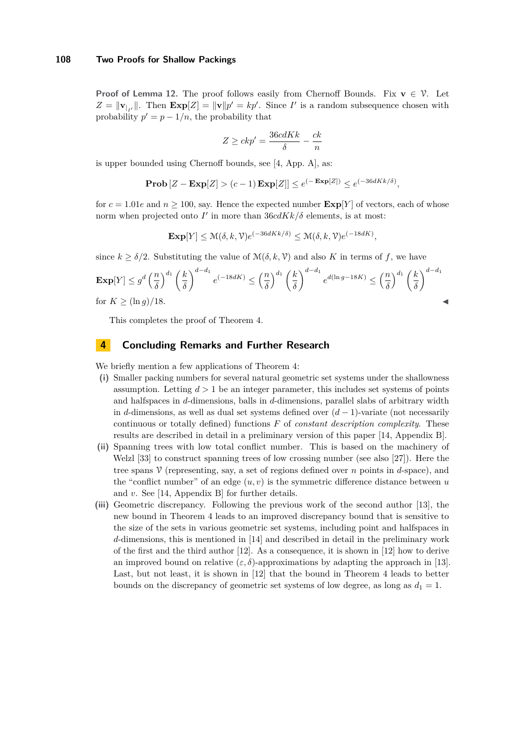**Proof of Lemma [12.](#page-11-0)** The proof follows easily from Chernoff Bounds. Fix  $\mathbf{v} \in \mathcal{V}$ . Let  $Z = ||\mathbf{v}_{|I'}||$ . Then  $\mathbf{Exp}[Z] = ||\mathbf{v}||p' = kp'$ . Since *I'* is a random subsequence chosen with probability  $p' = p - 1/n$ , the probability that

$$
Z \ge ckp' = \frac{36cdKk}{\delta} - \frac{ck}{n}
$$

is upper bounded using Chernoff bounds, see [\[4,](#page-13-14) App. A], as:

$$
\mathbf{Prob}\left[Z - \mathbf{Exp}[Z] > (c-1)\mathbf{Exp}[Z]\right] \le e^{(-\mathbf{Exp}[Z])} \le e^{(-36dKk/\delta)},
$$

for  $c = 1.01e$  and  $n \ge 100$ , say. Hence the expected number  $\exp[Y]$  of vectors, each of whose norm when projected onto  $I'$  in more than  $36cdKk/\delta$  elements, is at most:

$$
\mathbf{Exp}[Y] \le \mathcal{M}(\delta, k, \mathcal{V}) e^{(-36dKk/\delta)} \le \mathcal{M}(\delta, k, \mathcal{V}) e^{(-18dK)},
$$

since  $k \geq \delta/2$ . Substituting the value of  $\mathcal{M}(\delta, k, \mathcal{V})$  and also K in terms of f, we have

$$
\mathbf{Exp}[Y] \le g^d \left(\frac{n}{\delta}\right)^{d_1} \left(\frac{k}{\delta}\right)^{d-d_1} e^{(-18dK)} \le \left(\frac{n}{\delta}\right)^{d_1} \left(\frac{k}{\delta}\right)^{d-d_1} e^{d(\ln g - 18K)} \le \left(\frac{n}{\delta}\right)^{d_1} \left(\frac{k}{\delta}\right)^{d-d_1}
$$
\nfor  $K \ge (\ln g)/18$ .

This completes the proof of Theorem [4.](#page-3-3)

# **4 Concluding Remarks and Further Research**

We briefly mention a few applications of Theorem [4:](#page-3-3)

- **(i)** Smaller packing numbers for several natural geometric set systems under the shallowness assumption. Letting  $d > 1$  be an integer parameter, this includes set systems of points and halfspaces in *d*-dimensions, balls in *d*-dimensions, parallel slabs of arbitrary width in *d*-dimensions, as well as dual set systems defined over  $(d-1)$ -variate (not necessarily continuous or totally defined) functions *F* of *constant description complexity*. These results are described in detail in a preliminary version of this paper [\[14,](#page-13-11) Appendix B].
- **(ii)** Spanning trees with low total conflict number. This is based on the machinery of Welzl [\[33\]](#page-14-6) to construct spanning trees of low crossing number (see also [\[27\]](#page-14-1)). Here the tree spans V (representing, say, a set of regions defined over *n* points in *d*-space), and the "conflict number" of an edge  $(u, v)$  is the symmetric difference distance between  $u$ and *v*. See [\[14,](#page-13-11) Appendix B] for further details.
- **(iii)** Geometric discrepancy. Following the previous work of the second author [\[13\]](#page-13-13), the new bound in Theorem [4](#page-3-3) leads to an improved discrepancy bound that is sensitive to the size of the sets in various geometric set systems, including point and halfspaces in *d*-dimensions, this is mentioned in [\[14\]](#page-13-11) and described in detail in the preliminary work of the first and the third author [\[12\]](#page-13-15). As a consequence, it is shown in [\[12\]](#page-13-15) how to derive an improved bound on relative  $(\varepsilon, \delta)$ -approximations by adapting the approach in [\[13\]](#page-13-13). Last, but not least, it is shown in [\[12\]](#page-13-15) that the bound in Theorem [4](#page-3-3) leads to better bounds on the discrepancy of geometric set systems of low degree, as long as  $d_1 = 1$ .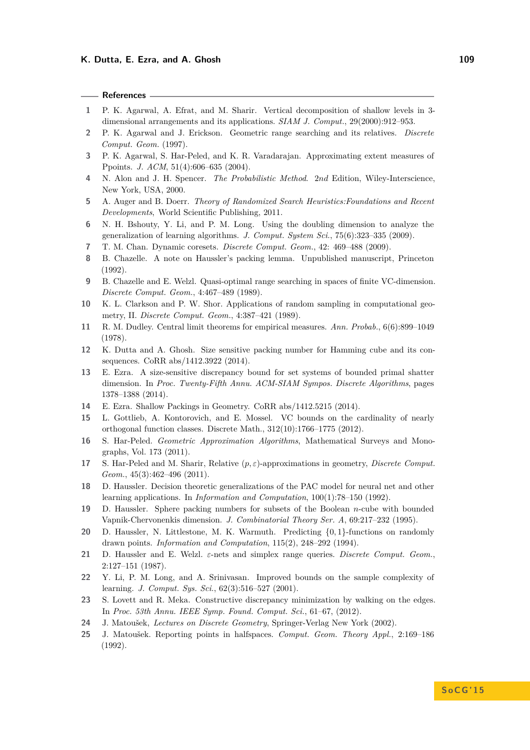### **References**

- **1** P. K. Agarwal, A. Efrat, and M. Sharir. Vertical decomposition of shallow levels in 3 dimensional arrangements and its applications. *SIAM J. Comput.*, 29(2000):912–953.
- **2** P. K. Agarwal and J. Erickson. Geometric range searching and its relatives. *Discrete Comput. Geom.* (1997).
- **3** P. K. Agarwal, S. Har-Peled, and K. R. Varadarajan. Approximating extent measures of Ppoints. *J. ACM*, 51(4):606–635 (2004).
- <span id="page-13-14"></span>**4** N. Alon and J. H. Spencer. *The Probabilistic Method*. 2*nd* Edition, Wiley-Interscience, New York, USA, 2000.
- **5** A. Auger and B. Doerr. *Theory of Randomized Search Heuristics:Foundations and Recent Developments*, World Scientific Publishing, 2011.
- <span id="page-13-8"></span>**6** N. H. Bshouty, Y. Li, and P. M. Long. Using the doubling dimension to analyze the generalization of learning algorithms. *J. Comput. System Sci.*, 75(6):323–335 (2009).
- **7** T. M. Chan. Dynamic coresets. *Discrete Comput. Geom.*, 42: 469–488 (2009).
- <span id="page-13-3"></span>**8** B. Chazelle. A note on Haussler's packing lemma. Unpublished manuscript, Princeton (1992).
- <span id="page-13-4"></span>**9** B. Chazelle and E. Welzl. Quasi-optimal range searching in spaces of finite VC-dimension. *Discrete Comput. Geom.*, 4:467–489 (1989).
- <span id="page-13-12"></span>**10** K. L. Clarkson and P. W. Shor. Applications of random sampling in computational geometry, II. *Discrete Comput. Geom.*, 4:387–421 (1989).
- <span id="page-13-5"></span>**11** R. M. Dudley. Central limit theorems for empirical measures. *Ann. Probab.*, 6(6):899–1049 (1978).
- <span id="page-13-15"></span>**12** K. Dutta and A. Ghosh. Size sensitive packing number for Hamming cube and its consequences. CoRR abs/1412.3922 (2014).
- <span id="page-13-13"></span>**13** E. Ezra. A size-sensitive discrepancy bound for set systems of bounded primal shatter dimension. In *Proc. Twenty-Fifth Annu. ACM-SIAM Sympos. Discrete Algorithms*, pages 1378–1388 (2014).
- <span id="page-13-11"></span>**14** E. Ezra. Shallow Packings in Geometry. CoRR abs/1412.5215 (2014).
- <span id="page-13-7"></span>**15** L. Gottlieb, A. Kontorovich, and E. Mossel. VC bounds on the cardinality of nearly orthogonal function classes. Discrete Math., 312(10):1766–1775 (2012).
- <span id="page-13-2"></span>**16** S. Har-Peled. *Geometric Approximation Algorithms*, Mathematical Surveys and Monographs, Vol. 173 (2011).
- <span id="page-13-10"></span>**17** S. Har-Peled and M. Sharir, Relative (*p, ε*)-approximations in geometry, *Discrete Comput. Geom.*, 45(3):462–496 (2011).
- <span id="page-13-6"></span>**18** D. Haussler. Decision theoretic generalizations of the PAC model for neural net and other learning applications. In *Information and Computation*, 100(1):78–150 (1992).
- <span id="page-13-0"></span>**19** D. Haussler. Sphere packing numbers for subsets of the Boolean *n*-cube with bounded Vapnik-Chervonenkis dimension. *J. Combinatorial Theory Ser. A*, 69:217–232 (1995).
- **20** D. Haussler, N. Littlestone, M. K. Warmuth. Predicting {0*,* 1}-functions on randomly drawn points. *Information and Computation*, 115(2), 248–292 (1994).
- <span id="page-13-1"></span>**21** D. Haussler and E. Welzl. *ε*-nets and simplex range queries. *Discrete Comput. Geom.*, 2:127–151 (1987).
- <span id="page-13-9"></span>**22** Y. Li, P. M. Long, and A. Srinivasan. Improved bounds on the sample complexity of learning. *J. Comput. Sys. Sci.*, 62(3):516–527 (2001).
- **23** S. Lovett and R. Meka. Constructive discrepancy minimization by walking on the edges. In *Proc. 53th Annu. IEEE Symp. Found. Comput. Sci.*, 61–67, (2012).
- **24** J. Matoušek, *Lectures on Discrete Geometry*, Springer-Verlag New York (2002).
- **25** J. Matoušek. Reporting points in halfspaces. *Comput. Geom. Theory Appl.*, 2:169–186 (1992).